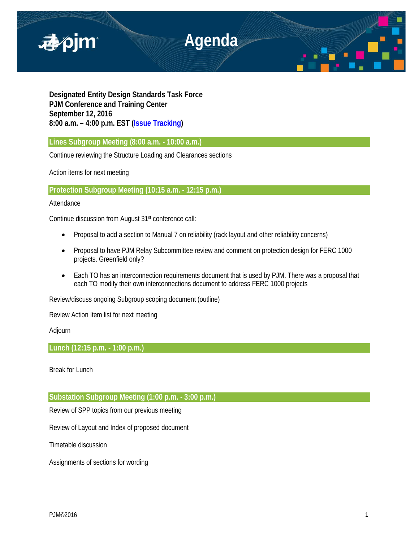

**Designated Entity Design Standards Task Force PJM Conference and Training Center September 12, 2016 8:00 a.m. – 4:00 p.m. EST [\(Issue Tracking\)](http://www.pjm.com/committees-and-groups/issue-tracking/issue-tracking-details.aspx?Issue=%7bE6133A76-DEC6-49DD-89E3-F5ECC642EA67%7d)**

**Lines Subgroup Meeting (8:00 a.m. - 10:00 a.m.)** 

Continue reviewing the Structure Loading and Clearances sections

Action items for next meeting

**Protection Subgroup Meeting (10:15 a.m. - 12:15 p.m.)** 

# Attendance

Continue discussion from August 31st conference call:

- Proposal to add a section to Manual 7 on reliability (rack layout and other reliability concerns)
- Proposal to have PJM Relay Subcommittee review and comment on protection design for FERC 1000 projects. Greenfield only?
- Each TO has an interconnection requirements document that is used by PJM. There was a proposal that each TO modify their own interconnections document to address FERC 1000 projects

Review/discuss ongoing Subgroup scoping document (outline)

Review Action Item list for next meeting

Adjourn

**Lunch (12:15 p.m. - 1:00 p.m.)** 

Break for Lunch

**Substation Subgroup Meeting (1:00 p.m. - 3:00 p.m.)** 

Review of SPP topics from our previous meeting

Review of Layout and Index of proposed document

Timetable discussion

Assignments of sections for wording